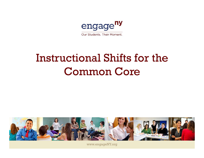

# Instructional Shifts for the **Common Core**



www.engageNY.org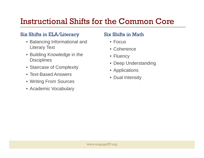# Instructional Shifts for the Common Core

### Six Shifts in ELA/Literacy

- Balancing Informational and Literary Text
- Building Knowledge in the **Disciplines**
- Staircase of Complexity
- Text-Based Answers
- Writing From Sources
- Academic Vocabulary

### Six Shifts in Math

- Focus
- Coherence
- Fluency
- Deep Understanding
- plexity Applications
	- Dual Intensity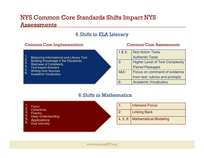## NYS Common Core Standards Shifts Impact NYS Assessments

### 6 *Shifts* in ELA Literacy

#### Common Core Implementation Common Core Assessments

- 1. Balancing Informational and Literary Text<br>2. Duilding Knowledge in the Disciplines
- 4. Building Knowledge in the Disciplines<br>3. Steirease of Complexity
- <sup>O.</sup> Staircase of Complexity<br>4. Tay thesed Anguers
- · Text-based Answers
- 5. Writing from Sources<br>6. Academia Vecabular
- 6. Academic Vocabulary

| 1 & 8 & 2: | <b>Non-fiction Texts</b>               |
|------------|----------------------------------------|
|            | <b>Authentic Texts</b>                 |
| 3:         | <b>Higher Level of Text Complexity</b> |
|            | <b>Paired Passages</b>                 |
| 4&5:       | Focus on command of evidence           |
|            | from text: rubrics and prompts         |
| 6:         | <b>Academic Vocabulary</b>             |

### 6 *Shifts* in Mathematics

- 1.**Focus**
- 2. Coherence<br>3. Elyency
- <sup>o.</sup> Fluency<br>4. Deen U
- <sup>4.</sup> Deep Understanding<br>5. Applications
- 
- 

| Focus<br>Coherence                                                             | 1: | <b>Intensive Focus</b>         |
|--------------------------------------------------------------------------------|----|--------------------------------|
| ა.<br><b>Fluency</b><br>4.                                                     | 2: | <b>Linking Back</b>            |
| <b>Deep Understanding</b><br>၁.<br><b>Applications</b><br>6.<br>Dual Intensity |    | 4, 5, 6: Mathematical Modeling |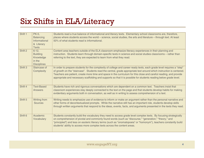# Six Shifts in ELA/Literacy

| Shift 1            | <b>PK-5,</b><br><b>Balancing</b><br>Informational<br>& Literary<br><b>Texts</b> | Students read a true balance of informational and literary texts. Elementary school classrooms are, therefore,<br>places where students access the world – science, social studies, the arts and literature – through text. At least<br>50% of what students read is informational.                                                                                                                                                                                                       |
|--------------------|---------------------------------------------------------------------------------|-------------------------------------------------------------------------------------------------------------------------------------------------------------------------------------------------------------------------------------------------------------------------------------------------------------------------------------------------------------------------------------------------------------------------------------------------------------------------------------------|
| Shift 2            | $6-12,$<br><b>Building</b><br>Knowledge<br>in the<br><b>Disciplines</b>         | Content area teachers outside of the ELA classroom emphasize literacy experiences in their planning and<br>instruction. Students learn through domain-specific texts in science and social studies classrooms - rather than<br>referring to the text, they are expected to learn from what they read.                                                                                                                                                                                     |
| Shift 3            | Staircase of<br><b>Complexity</b>                                               | In order to prepare students for the complexity of college and career ready texts, each grade level requires a "step"<br>of growth on the "staircase". Students read the central, grade appropriate text around which instruction is centered.<br>Teachers are patient, create more time and space in the curriculum for this close and careful reading, and provide<br>appropriate and necessary scaffolding and supports so that it is possible for students reading below grade level. |
| Shift 4            | <b>Text-Based</b><br><b>Answers</b>                                             | Students have rich and rigorous conversations which are dependent on a common text. Teachers insist that<br>classroom experiences stay deeply connected to the text on the page and that students develop habits for making<br>evidentiary arguments both in conversation, as well as in writing to assess comprehension of a text.                                                                                                                                                       |
| Shift 5            | <b>Writing from</b><br><b>Sources</b>                                           | Writing needs to emphasize use of evidence to inform or make an argument rather than the personal narrative and<br>other forms of decontextualized prompts. While the narrative still has an important role, students develop skills<br>through written arguments that respond to the ideas, events, facts, and arguments presented in the texts they read.                                                                                                                               |
| Shift <sub>6</sub> | Academic<br>Vocabulary                                                          | Students constantly build the vocabulary they need to access grade level complex texts. By focusing strategically<br>on comprehension of pivotal and commonly found words (such as "discourse," "generation," "theory," and<br>"principled") and less on esoteric literary terms (such as "onomatopoeia" or "homonym"), teachers constantly build<br>students' ability to access more complex texts across the content areas.                                                             |